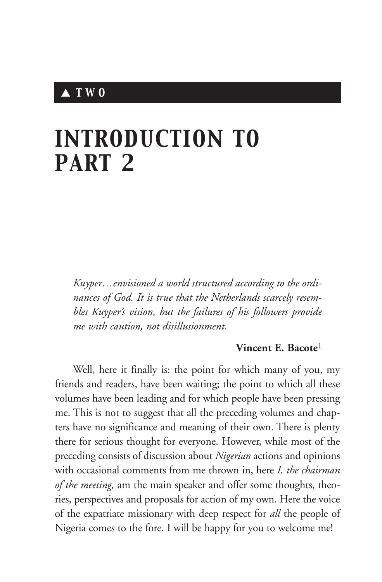## ▲ *T W O*

# *INTRODUCTION TO PART 2*

*Kuyper…envisioned a world structured according to the ordinances of God. It is true that the Netherlands scarcely resembles Kuyper's vision, but the failures of his followers provide me with caution, not disillusionment.*

### **Vincent E. Bacote**<sup>1</sup>

Well, here it finally is: the point for which many of you, my friends and readers, have been waiting; the point to which all these volumes have been leading and for which people have been pressing me. This is not to suggest that all the preceding volumes and chapters have no significance and meaning of their own. There is plenty there for serious thought for everyone. However, while most of the preceding consists of discussion about *Nigerian* actions and opinions with occasional comments from me thrown in, here *I, the chairman of the meeting,* am the main speaker and offer some thoughts, theories, perspectives and proposals for action of my own. Here the voice of the expatriate missionary with deep respect for *all* the people of Nigeria comes to the fore. I will be happy for you to welcome me!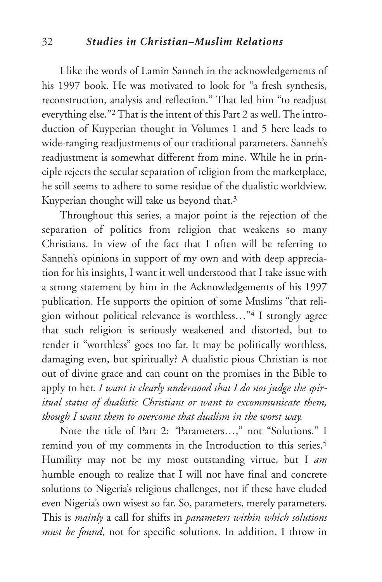### 32 *Studies in Christian–Muslim Relations*

I like the words of Lamin Sanneh in the acknowledgements of his 1997 book. He was motivated to look for "a fresh synthesis, reconstruction, analysis and reflection." That led him "to readjust everything else."2 That is the intent of this Part 2 as well. The introduction of Kuyperian thought in Volumes 1 and 5 here leads to wide-ranging readjustments of our traditional parameters. Sanneh's readjustment is somewhat different from mine. While he in principle rejects the secular separation of religion from the marketplace, he still seems to adhere to some residue of the dualistic worldview. Kuyperian thought will take us beyond that.3

Throughout this series, a major point is the rejection of the separation of politics from religion that weakens so many Christians. In view of the fact that I often will be referring to Sanneh's opinions in support of my own and with deep appreciation for his insights, I want it well understood that I take issue with a strong statement by him in the Acknowledgements of his 1997 publication. He supports the opinion of some Muslims "that religion without political relevance is worthless…"4 I strongly agree that such religion is seriously weakened and distorted, but to render it "worthless" goes too far. It may be politically worthless, damaging even, but spiritually? A dualistic pious Christian is not out of divine grace and can count on the promises in the Bible to apply to her. *I want it clearly understood that I do not judge the spiritual status of dualistic Christians or want to excommunicate them, though I want them to overcome that dualism in the worst way.*

Note the title of Part 2: *"*Parameters…," not "Solutions." I remind you of my comments in the Introduction to this series.5 Humility may not be my most outstanding virtue, but I *am* humble enough to realize that I will not have final and concrete solutions to Nigeria's religious challenges, not if these have eluded even Nigeria's own wisest so far. So, parameters, merely parameters. This is *mainly* a call for shifts in *parameters within which solutions must be found,* not for specific solutions. In addition, I throw in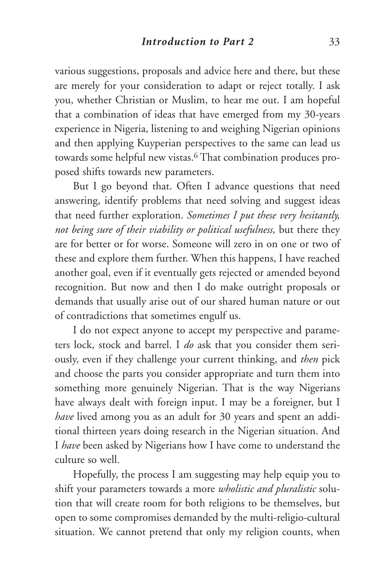various suggestions, proposals and advice here and there, but these are merely for your consideration to adapt or reject totally. I ask you, whether Christian or Muslim, to hear me out. I am hopeful that a combination of ideas that have emerged from my 30-years experience in Nigeria, listening to and weighing Nigerian opinions and then applying Kuyperian perspectives to the same can lead us towards some helpful new vistas.6 That combination produces proposed shifts towards new parameters.

But I go beyond that. Often I advance questions that need answering, identify problems that need solving and suggest ideas that need further exploration. *Sometimes I put these very hesitantly, not being sure of their viability or political usefulness,* but there they are for better or for worse. Someone will zero in on one or two of these and explore them further. When this happens, I have reached another goal, even if it eventually gets rejected or amended beyond recognition. But now and then I do make outright proposals or demands that usually arise out of our shared human nature or out of contradictions that sometimes engulf us.

I do not expect anyone to accept my perspective and parameters lock, stock and barrel. I *do* ask that you consider them seriously, even if they challenge your current thinking, and *then* pick and choose the parts you consider appropriate and turn them into something more genuinely Nigerian. That is the way Nigerians have always dealt with foreign input. I may be a foreigner, but I *have* lived among you as an adult for 30 years and spent an additional thirteen years doing research in the Nigerian situation. And I *have* been asked by Nigerians how I have come to understand the culture so well.

Hopefully, the process I am suggesting may help equip you to shift your parameters towards a more *wholistic and pluralistic* solution that will create room for both religions to be themselves, but open to some compromises demanded by the multi-religio-cultural situation. We cannot pretend that only my religion counts, when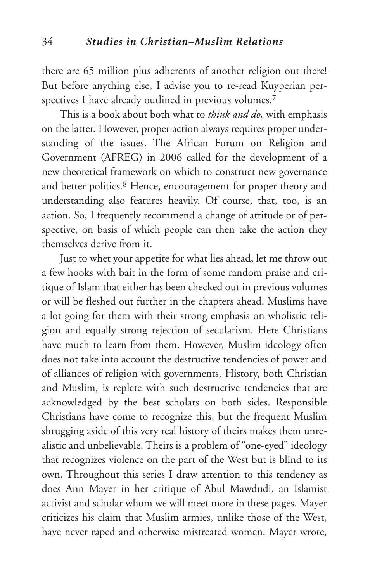there are 65 million plus adherents of another religion out there! But before anything else, I advise you to re-read Kuyperian perspectives I have already outlined in previous volumes.7

This is a book about both what to *think and do,* with emphasis on the latter. However, proper action always requires proper understanding of the issues. The African Forum on Religion and Government (AFREG) in 2006 called for the development of a new theoretical framework on which to construct new governance and better politics.<sup>8</sup> Hence, encouragement for proper theory and understanding also features heavily. Of course, that, too, is an action. So, I frequently recommend a change of attitude or of perspective, on basis of which people can then take the action they themselves derive from it.

Just to whet your appetite for what lies ahead, let me throw out a few hooks with bait in the form of some random praise and critique of Islam that either has been checked out in previous volumes or will be fleshed out further in the chapters ahead. Muslims have a lot going for them with their strong emphasis on wholistic religion and equally strong rejection of secularism. Here Christians have much to learn from them. However, Muslim ideology often does not take into account the destructive tendencies of power and of alliances of religion with governments. History, both Christian and Muslim, is replete with such destructive tendencies that are acknowledged by the best scholars on both sides. Responsible Christians have come to recognize this, but the frequent Muslim shrugging aside of this very real history of theirs makes them unrealistic and unbelievable. Theirs is a problem of "one-eyed" ideology that recognizes violence on the part of the West but is blind to its own. Throughout this series I draw attention to this tendency as does Ann Mayer in her critique of Abul Mawdudi, an Islamist activist and scholar whom we will meet more in these pages. Mayer criticizes his claim that Muslim armies, unlike those of the West, have never raped and otherwise mistreated women. Mayer wrote,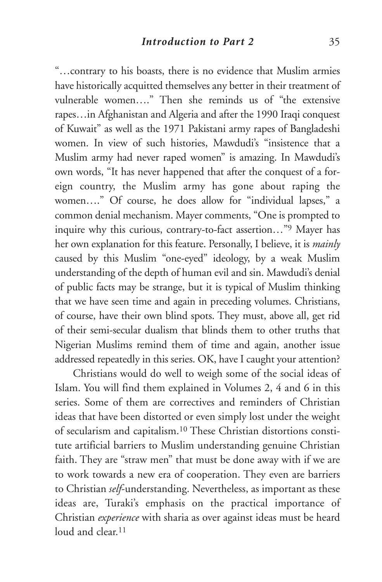"…contrary to his boasts, there is no evidence that Muslim armies have historically acquitted themselves any better in their treatment of vulnerable women…." Then she reminds us of "the extensive rapes…in Afghanistan and Algeria and after the 1990 Iraqi conquest of Kuwait" as well as the 1971 Pakistani army rapes of Bangladeshi women. In view of such histories, Mawdudi's "insistence that a Muslim army had never raped women" is amazing. In Mawdudi's own words, "It has never happened that after the conquest of a foreign country, the Muslim army has gone about raping the women…." Of course, he does allow for "individual lapses," a common denial mechanism. Mayer comments, "One is prompted to inquire why this curious, contrary-to-fact assertion…"9 Mayer has her own explanation for this feature. Personally, I believe, it is *mainly* caused by this Muslim "one-eyed" ideology, by a weak Muslim understanding of the depth of human evil and sin. Mawdudi's denial of public facts may be strange, but it is typical of Muslim thinking that we have seen time and again in preceding volumes. Christians, of course, have their own blind spots. They must, above all, get rid of their semi-secular dualism that blinds them to other truths that Nigerian Muslims remind them of time and again, another issue addressed repeatedly in this series. OK, have I caught your attention?

Christians would do well to weigh some of the social ideas of Islam. You will find them explained in Volumes 2, 4 and 6 in this series. Some of them are correctives and reminders of Christian ideas that have been distorted or even simply lost under the weight of secularism and capitalism.10 These Christian distortions constitute artificial barriers to Muslim understanding genuine Christian faith. They are "straw men" that must be done away with if we are to work towards a new era of cooperation. They even are barriers to Christian *self*-understanding. Nevertheless, as important as these ideas are, Turaki's emphasis on the practical importance of Christian *experience* with sharia as over against ideas must be heard loud and clear<sup>11</sup>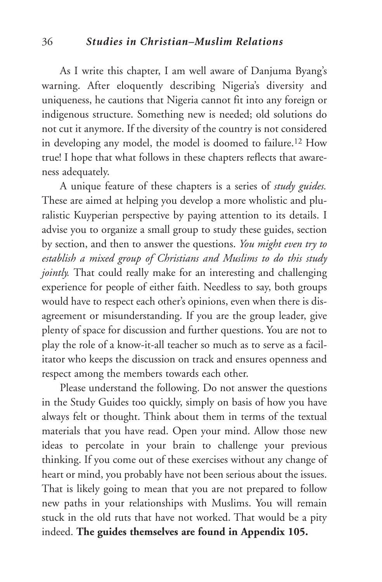### 36 *Studies in Christian–Muslim Relations*

As I write this chapter, I am well aware of Danjuma Byang's warning. After eloquently describing Nigeria's diversity and uniqueness, he cautions that Nigeria cannot fit into any foreign or indigenous structure. Something new is needed; old solutions do not cut it anymore. If the diversity of the country is not considered in developing any model, the model is doomed to failure.12 How true! I hope that what follows in these chapters reflects that awareness adequately.

A unique feature of these chapters is a series of *study guides.* These are aimed at helping you develop a more wholistic and pluralistic Kuyperian perspective by paying attention to its details. I advise you to organize a small group to study these guides, section by section, and then to answer the questions. *You might even try to establish a mixed group of Christians and Muslims to do this study jointly*. That could really make for an interesting and challenging experience for people of either faith. Needless to say, both groups would have to respect each other's opinions, even when there is disagreement or misunderstanding. If you are the group leader, give plenty of space for discussion and further questions. You are not to play the role of a know-it-all teacher so much as to serve as a facilitator who keeps the discussion on track and ensures openness and respect among the members towards each other.

Please understand the following. Do not answer the questions in the Study Guides too quickly, simply on basis of how you have always felt or thought. Think about them in terms of the textual materials that you have read. Open your mind. Allow those new ideas to percolate in your brain to challenge your previous thinking. If you come out of these exercises without any change of heart or mind, you probably have not been serious about the issues. That is likely going to mean that you are not prepared to follow new paths in your relationships with Muslims. You will remain stuck in the old ruts that have not worked. That would be a pity indeed. **The guides themselves are found in Appendix 105.**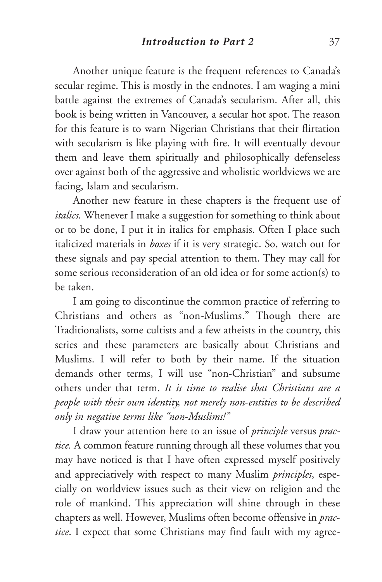Another unique feature is the frequent references to Canada's secular regime. This is mostly in the endnotes. I am waging a mini battle against the extremes of Canada's secularism. After all, this book is being written in Vancouver, a secular hot spot. The reason for this feature is to warn Nigerian Christians that their flirtation with secularism is like playing with fire. It will eventually devour them and leave them spiritually and philosophically defenseless over against both of the aggressive and wholistic worldviews we are facing, Islam and secularism.

Another new feature in these chapters is the frequent use of *italics*. Whenever I make a suggestion for something to think about or to be done, I put it in italics for emphasis. Often I place such italicized materials in *boxes* if it is very strategic. So, watch out for these signals and pay special attention to them. They may call for some serious reconsideration of an old idea or for some action(s) to be taken.

I am going to discontinue the common practice of referring to Christians and others as "non-Muslims." Though there are Traditionalists, some cultists and a few atheists in the country, this series and these parameters are basically about Christians and Muslims. I will refer to both by their name. If the situation demands other terms, I will use "non-Christian" and subsume others under that term. *It is time to realise that Christians are a people with their own identity, not merely non-entities to be described only in negative terms like "non-Muslims!"*

I draw your attention here to an issue of *principle* versus *practice.* A common feature running through all these volumes that you may have noticed is that I have often expressed myself positively and appreciatively with respect to many Muslim *principles*, especially on worldview issues such as their view on religion and the role of mankind. This appreciation will shine through in these chapters as well. However, Muslims often become offensive in *practice*. I expect that some Christians may find fault with my agree-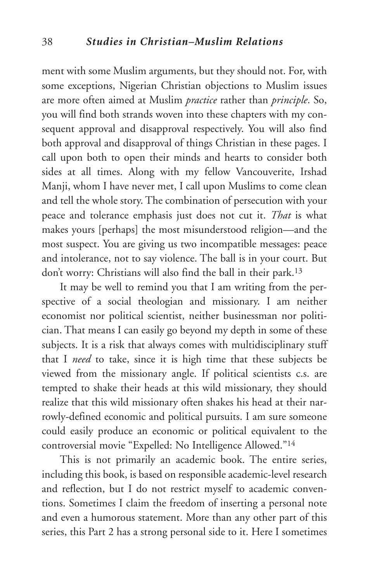ment with some Muslim arguments, but they should not. For, with some exceptions, Nigerian Christian objections to Muslim issues are more often aimed at Muslim *practice* rather than *principle*. So, you will find both strands woven into these chapters with my consequent approval and disapproval respectively. You will also find both approval and disapproval of things Christian in these pages. I call upon both to open their minds and hearts to consider both sides at all times. Along with my fellow Vancouverite, Irshad Manji, whom I have never met, I call upon Muslims to come clean and tell the whole story. The combination of persecution with your peace and tolerance emphasis just does not cut it. *That* is what makes yours [perhaps] the most misunderstood religion—and the most suspect. You are giving us two incompatible messages: peace and intolerance, not to say violence. The ball is in your court. But don't worry: Christians will also find the ball in their park.13

It may be well to remind you that I am writing from the perspective of a social theologian and missionary. I am neither economist nor political scientist, neither businessman nor politician. That means I can easily go beyond my depth in some of these subjects. It is a risk that always comes with multidisciplinary stuff that I *need* to take, since it is high time that these subjects be viewed from the missionary angle. If political scientists c.s. are tempted to shake their heads at this wild missionary, they should realize that this wild missionary often shakes his head at their narrowly-defined economic and political pursuits. I am sure someone could easily produce an economic or political equivalent to the controversial movie "Expelled: No Intelligence Allowed."14

This is not primarily an academic book. The entire series, including this book, is based on responsible academic-level research and reflection, but I do not restrict myself to academic conventions. Sometimes I claim the freedom of inserting a personal note and even a humorous statement. More than any other part of this series, this Part 2 has a strong personal side to it. Here I sometimes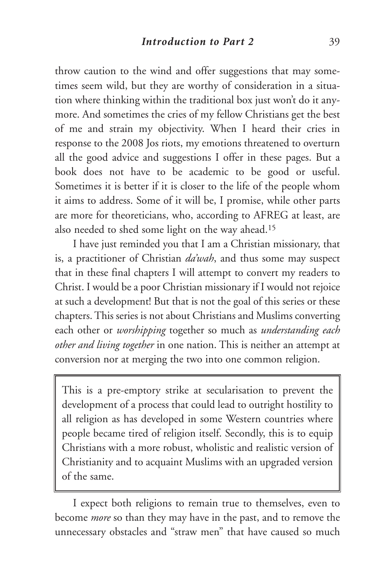throw caution to the wind and offer suggestions that may sometimes seem wild, but they are worthy of consideration in a situation where thinking within the traditional box just won't do it anymore. And sometimes the cries of my fellow Christians get the best of me and strain my objectivity. When I heard their cries in response to the 2008 Jos riots, my emotions threatened to overturn all the good advice and suggestions I offer in these pages. But a book does not have to be academic to be good or useful. Sometimes it is better if it is closer to the life of the people whom it aims to address. Some of it will be, I promise, while other parts are more for theoreticians, who, according to AFREG at least, are also needed to shed some light on the way ahead.15

I have just reminded you that I am a Christian missionary, that is, a practitioner of Christian *da'wah*, and thus some may suspect that in these final chapters I will attempt to convert my readers to Christ. I would be a poor Christian missionary if I would not rejoice at such a development! But that is not the goal of this series or these chapters.This series is not about Christians and Muslims converting each other or *worshipping* together so much as *understanding each other and living together* in one nation. This is neither an attempt at conversion nor at merging the two into one common religion.

This is a pre-emptory strike at secularisation to prevent the development of a process that could lead to outright hostility to all religion as has developed in some Western countries where people became tired of religion itself. Secondly, this is to equip Christians with a more robust, wholistic and realistic version of Christianity and to acquaint Muslims with an upgraded version of the same.

I expect both religions to remain true to themselves, even to become *more* so than they may have in the past, and to remove the unnecessary obstacles and "straw men" that have caused so much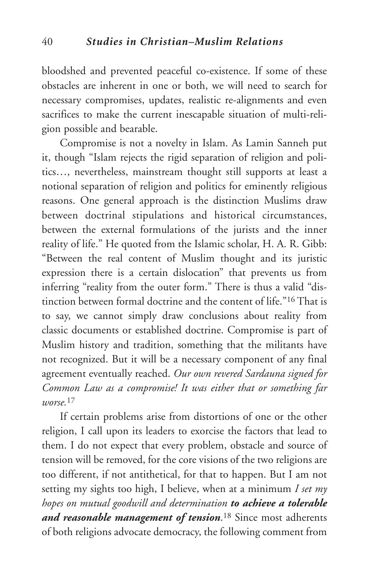bloodshed and prevented peaceful co-existence. If some of these obstacles are inherent in one or both, we will need to search for necessary compromises, updates, realistic re-alignments and even sacrifices to make the current inescapable situation of multi-religion possible and bearable.

Compromise is not a novelty in Islam. As Lamin Sanneh put it, though "Islam rejects the rigid separation of religion and politics…, nevertheless, mainstream thought still supports at least a notional separation of religion and politics for eminently religious reasons. One general approach is the distinction Muslims draw between doctrinal stipulations and historical circumstances, between the external formulations of the jurists and the inner reality of life." He quoted from the Islamic scholar, H. A. R. Gibb: "Between the real content of Muslim thought and its juristic expression there is a certain dislocation" that prevents us from inferring "reality from the outer form." There is thus a valid "distinction between formal doctrine and the content of life."16 That is to say, we cannot simply draw conclusions about reality from classic documents or established doctrine. Compromise is part of Muslim history and tradition, something that the militants have not recognized. But it will be a necessary component of any final agreement eventually reached. *Our own revered Sardauna signed for Common Law as a compromise! It was either that or something far worse.*<sup>17</sup>

If certain problems arise from distortions of one or the other religion, I call upon its leaders to exorcise the factors that lead to them. I do not expect that every problem, obstacle and source of tension will be removed, for the core visions of the two religions are too different, if not antithetical, for that to happen. But I am not setting my sights too high, I believe, when at a minimum *I set my hopes on mutual goodwill and determination to achieve a tolerable and reasonable management of tension*.18 Since most adherents of both religions advocate democracy, the following comment from